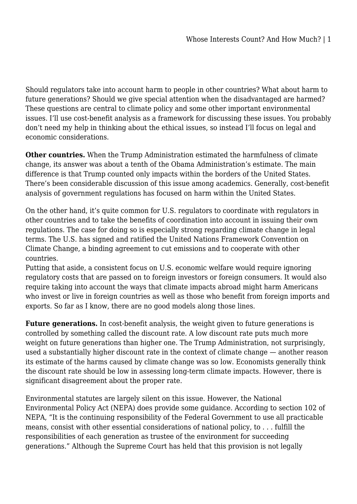Should regulators take into account harm to people in other countries? What about harm to future generations? Should we give special attention when the disadvantaged are harmed? These questions are central to climate policy and some other important environmental issues. I'll use cost-benefit analysis as a framework for discussing these issues. You probably don't need my help in thinking about the ethical issues, so instead I'll focus on legal and economic considerations.

**Other countries.** When the Trump Administration estimated the harmfulness of climate change, its answer was about a tenth of the Obama Administration's estimate. The main difference is that Trump counted only impacts within the borders of the United States. There's been considerable discussion of this issue among academics. Generally, cost-benefit analysis of government regulations has focused on harm within the United States.

On the other hand, it's quite common for U.S. regulators to coordinate with regulators in other countries and to take the benefits of coordination into account in issuing their own regulations. The case for doing so is especially strong regarding climate change in legal terms. The U.S. has signed and ratified the United Nations Framework Convention on Climate Change, a binding agreement to cut emissions and to cooperate with other countries.

Putting that aside, a consistent focus on U.S. economic welfare would require ignoring regulatory costs that are passed on to foreign investors or foreign consumers. It would also require taking into account the ways that climate impacts abroad might harm Americans who invest or live in foreign countries as well as those who benefit from foreign imports and exports. So far as I know, there are no good models along those lines.

**Future generations.** In cost-benefit analysis, the weight given to future generations is controlled by something called the discount rate. A low discount rate puts much more weight on future generations than higher one. The Trump Administration, not surprisingly, used a substantially higher discount rate in the context of climate change — another reason its estimate of the harms caused by climate change was so low. Economists generally think the discount rate should be low in assessing long-term climate impacts. However, there is significant disagreement about the proper rate.

Environmental statutes are largely silent on this issue. However, the National Environmental Policy Act (NEPA) does provide some guidance. According to section 102 of NEPA, "It is the continuing responsibility of the Federal Government to use all practicable means, consist with other essential considerations of national policy, to . . . fulfill the responsibilities of each generation as trustee of the environment for succeeding generations." Although the Supreme Court has held that this provision is not legally